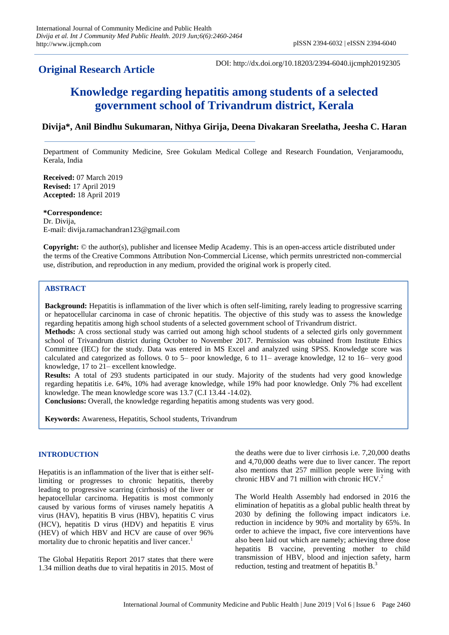## **Original Research Article**

DOI: http://dx.doi.org/10.18203/2394-6040.ijcmph20192305

# **Knowledge regarding hepatitis among students of a selected government school of Trivandrum district, Kerala**

## **Divija\*, Anil Bindhu Sukumaran, Nithya Girija, Deena Divakaran Sreelatha, Jeesha C. Haran**

Department of Community Medicine, Sree Gokulam Medical College and Research Foundation, Venjaramoodu, Kerala, India

**Received:** 07 March 2019 **Revised:** 17 April 2019 **Accepted:** 18 April 2019

## **\*Correspondence:**

Dr. Divija, E-mail: divija.ramachandran123@gmail.com

**Copyright:** © the author(s), publisher and licensee Medip Academy. This is an open-access article distributed under the terms of the Creative Commons Attribution Non-Commercial License, which permits unrestricted non-commercial use, distribution, and reproduction in any medium, provided the original work is properly cited.

#### **ABSTRACT**

**Background:** Hepatitis is inflammation of the liver which is often self-limiting, rarely leading to progressive scarring or hepatocellular carcinoma in case of chronic hepatitis. The objective of this study was to assess the knowledge regarding hepatitis among high school students of a selected government school of Trivandrum district.

**Methods:** A cross sectional study was carried out among high school students of a selected girls only government school of Trivandrum district during October to November 2017. Permission was obtained from Institute Ethics Committee (IEC) for the study. Data was entered in MS Excel and analyzed using SPSS. Knowledge score was calculated and categorized as follows. 0 to 5– poor knowledge, 6 to 11– average knowledge, 12 to 16– very good knowledge, 17 to 21– excellent knowledge.

**Results:** A total of 293 students participated in our study. Majority of the students had very good knowledge regarding hepatitis i.e. 64%, 10% had average knowledge, while 19% had poor knowledge. Only 7% had excellent knowledge. The mean knowledge score was 13.7 (C.I 13.44 -14.02).

**Conclusions:** Overall, the knowledge regarding hepatitis among students was very good.

**Keywords:** Awareness, Hepatitis, School students, Trivandrum

### **INTRODUCTION**

Hepatitis is an inflammation of the liver that is either selflimiting or progresses to chronic hepatitis, thereby leading to progressive scarring (cirrhosis) of the liver or hepatocellular carcinoma. Hepatitis is most commonly caused by various forms of viruses namely hepatitis A virus (HAV), hepatitis B virus (HBV), hepatitis C virus (HCV), hepatitis D virus (HDV) and hepatitis E virus (HEV) of which HBV and HCV are cause of over 96% mortality due to chronic hepatitis and liver cancer.<sup>1</sup>

The Global Hepatitis Report 2017 states that there were 1.34 million deaths due to viral hepatitis in 2015. Most of the deaths were due to liver cirrhosis i.e. 7,20,000 deaths and 4,70,000 deaths were due to liver cancer. The report also mentions that 257 million people were living with chronic HBV and 71 million with chronic HCV.

The World Health Assembly had endorsed in 2016 the elimination of hepatitis as a global public health threat by 2030 by defining the following impact indicators i.e. reduction in incidence by 90% and mortality by 65%. In order to achieve the impact, five core interventions have also been laid out which are namely; achieving three dose hepatitis B vaccine, preventing mother to child transmission of HBV, blood and injection safety, harm reduction, testing and treatment of hepatitis  $B<sup>3</sup>$ .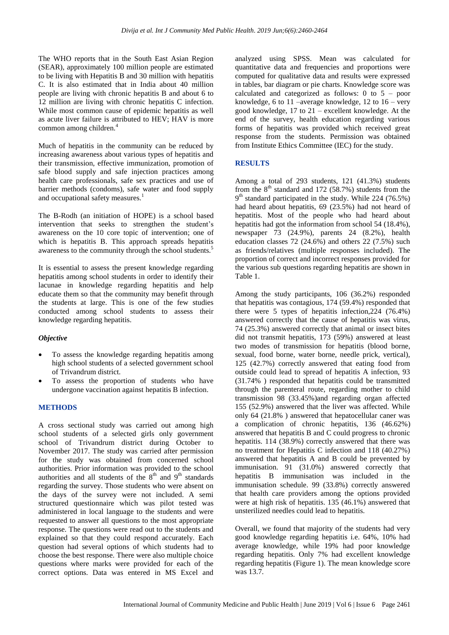The WHO reports that in the South East Asian Region (SEAR), approximately 100 million people are estimated to be living with Hepatitis B and 30 million with hepatitis C. It is also estimated that in India about 40 million people are living with chronic hepatitis B and about 6 to 12 million are living with chronic hepatitis C infection. While most common cause of epidemic hepatitis as well as acute liver failure is attributed to HEV; HAV is more common among children.<sup>4</sup>

Much of hepatitis in the community can be reduced by increasing awareness about various types of hepatitis and their transmission, effective immunization, promotion of safe blood supply and safe injection practices among health care professionals, safe sex practices and use of barrier methods (condoms), safe water and food supply and occupational safety measures.<sup>1</sup>

The B-Rodh (an initiation of HOPE) is a school based intervention that seeks to strengthen the student's awareness on the 10 core topic of intervention; one of which is hepatitis B. This approach spreads hepatitis awareness to the community through the school students.<sup>5</sup>

It is essential to assess the present knowledge regarding hepatitis among school students in order to identify their lacunae in knowledge regarding hepatitis and help educate them so that the community may benefit through the students at large. This is one of the few studies conducted among school students to assess their knowledge regarding hepatitis.

#### *Objective*

- To assess the knowledge regarding hepatitis among high school students of a selected government school of Trivandrum district.
- To assess the proportion of students who have undergone vaccination against hepatitis B infection.

#### **METHODS**

A cross sectional study was carried out among high school students of a selected girls only government school of Trivandrum district during October to November 2017. The study was carried after permission for the study was obtained from concerned school authorities. Prior information was provided to the school authorities and all students of the  $8<sup>th</sup>$  and  $9<sup>th</sup>$  standards regarding the survey. Those students who were absent on the days of the survey were not included. A semi structured questionnaire which was pilot tested was administered in local language to the students and were requested to answer all questions to the most appropriate response. The questions were read out to the students and explained so that they could respond accurately. Each question had several options of which students had to choose the best response. There were also multiple choice questions where marks were provided for each of the correct options. Data was entered in MS Excel and analyzed using SPSS. Mean was calculated for quantitative data and frequencies and proportions were computed for qualitative data and results were expressed in tables, bar diagram or pie charts. Knowledge score was calculated and categorized as follows: 0 to 5 – poor knowledge, 6 to 11 –average knowledge, 12 to 16 – very good knowledge, 17 to 21 – excellent knowledge. At the end of the survey, health education regarding various forms of hepatitis was provided which received great response from the students. Permission was obtained from Institute Ethics Committee (IEC) for the study.

#### **RESULTS**

Among a total of 293 students, 121 (41.3%) students from the  $8<sup>th</sup>$  standard and 172 (58.7%) students from the 9<sup>th</sup> standard participated in the study. While 224 (76.5%) had heard about hepatitis, 69 (23.5%) had not heard of hepatitis. Most of the people who had heard about hepatitis had got the information from school 54 (18.4%), newspaper 73 (24.9%), parents 24 (8.2%), health education classes 72 (24.6%) and others 22 (7.5%) such as friends/relatives (multiple responses included). The proportion of correct and incorrect responses provided for the various sub questions regarding hepatitis are shown in Table 1.

Among the study participants, 106 (36.2%) responded that hepatitis was contagious, 174 (59.4%) responded that there were 5 types of hepatitis infection,224 (76.4%) answered correctly that the cause of hepatitis was virus, 74 (25.3%) answered correctly that animal or insect bites did not transmit hepatitis, 173 (59%) answered at least two modes of transmission for hepatitis (blood borne, sexual, food borne, water borne, needle prick, vertical), 125 (42.7%) correctly answered that eating food from outside could lead to spread of hepatitis A infection, 93 (31.74% ) responded that hepatitis could be transmitted through the parenteral route, regarding mother to child transmission 98 (33.45%)and regarding organ affected 155 (52.9%) answered that the liver was affected. While only 64 (21.8% ) answered that hepatocellular caner was a complication of chronic hepatitis, 136 (46.62%) answered that hepatitis B and C could progress to chronic hepatitis. 114 (38.9%) correctly answered that there was no treatment for Hepatitis C infection and 118 (40.27%) answered that hepatitis A and B could be prevented by immunisation. 91 (31.0%) answered correctly that hepatitis B immunisation was included in the immunisation schedule. 99 (33.8%) correctly answered that health care providers among the options provided were at high risk of hepatitis. 135 (46.1%) answered that unsterilized needles could lead to hepatitis.

Overall, we found that majority of the students had very good knowledge regarding hepatitis i.e. 64%, 10% had average knowledge, while 19% had poor knowledge regarding hepatitis. Only 7% had excellent knowledge regarding hepatitis (Figure 1). The mean knowledge score was 13.7.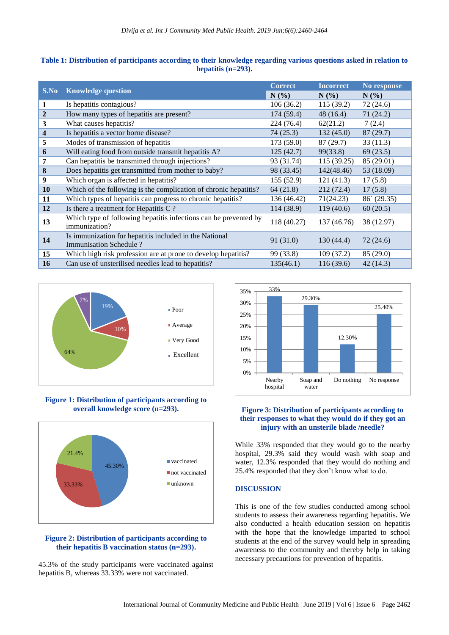#### **Table 1: Distribution of participants according to their knowledge regarding various questions asked in relation to hepatitis (n=293).**

| S.No                    | <b>Knowledge question</b>                                                         | <b>Correct</b> | <b>Incorrect</b> | No response          |
|-------------------------|-----------------------------------------------------------------------------------|----------------|------------------|----------------------|
|                         |                                                                                   | N(%)           | $N(\%)$          | $N(\%)$              |
| $\mathbf{1}$            | Is hepatitis contagious?                                                          | 106(36.2)      | 115(39.2)        | 72(24.6)             |
| $\overline{2}$          | How many types of hepatitis are present?                                          | 174 (59.4)     | 48 (16.4)        | 71(24.2)             |
| 3                       | What causes hepatitis?                                                            | 224 (76.4)     | 62(21.2)         | 7(2.4)               |
| $\overline{\mathbf{4}}$ | Is hepatitis a vector borne disease?                                              | 74(25.3)       | 132(45.0)        | 87(29.7)             |
| 5                       | Modes of transmission of hepatitis                                                | 173(59.0)      | 87 (29.7)        | 33(11.3)             |
| 6                       | Will eating food from outside transmit hepatitis A?                               | 125(42.7)      | 99(33.8)         | 69(23.5)             |
| 7                       | Can hepatitis be transmitted through injections?                                  | 93 (31.74)     | 115(39.25)       | 85 (29.01)           |
| 8                       | Does hepatitis get transmitted from mother to baby?                               | 98 (33.45)     | 142(48.46)       | 53 (18.09)           |
| 9                       | Which organ is affected in hepatitis?                                             | 155(52.9)      | 121(41.3)        | 17(5.8)              |
| 10                      | Which of the following is the complication of chronic hepatitis?                  | 64(21.8)       | 212(72.4)        | 17(5.8)              |
| 11                      | Which types of hepatitis can progress to chronic hepatitis?                       | 136 (46.42)    | 71(24.23)        | $86^{\circ} (29.35)$ |
| 12                      | Is there a treatment for Hepatitis C?                                             | 114 (38.9)     | 119(40.6)        | 60(20.5)             |
| 13                      | Which type of following hepatitis infections can be prevented by<br>immunization? | 118 (40.27)    | 137 (46.76)      | 38 (12.97)           |
| <b>14</b>               | Is immunization for hepatitis included in the National<br>Immunisation Schedule?  | 91 (31.0)      | 130(44.4)        | 72 (24.6)            |
| 15                      | Which high risk profession are at prone to develop hepatitis?                     | 99 (33.8)      | 109(37.2)        | 85 (29.0)            |
| 16                      | Can use of unsterilised needles lead to hepatitis?                                | 135(46.1)      | 116(39.6)        | 42(14.3)             |



**Figure 1: Distribution of participants according to overall knowledge score (n=293).**



#### **Figure 2: Distribution of participants according to their hepatitis B vaccination status (n=293).**

45.3% of the study participants were vaccinated against hepatitis B, whereas 33.33% were not vaccinated.



#### **Figure 3: Distribution of participants according to their responses to what they would do if they got an injury with an unsterile blade /needle?**

While 33% responded that they would go to the nearby hospital, 29.3% said they would wash with soap and water, 12.3% responded that they would do nothing and 25.4% responded that they don't know what to do.

#### **DISCUSSION**

This is one of the few studies conducted among school students to assess their awareness regarding hepatitis**.** We also conducted a health education session on hepatitis with the hope that the knowledge imparted to school students at the end of the survey would help in spreading awareness to the community and thereby help in taking necessary precautions for prevention of hepatitis.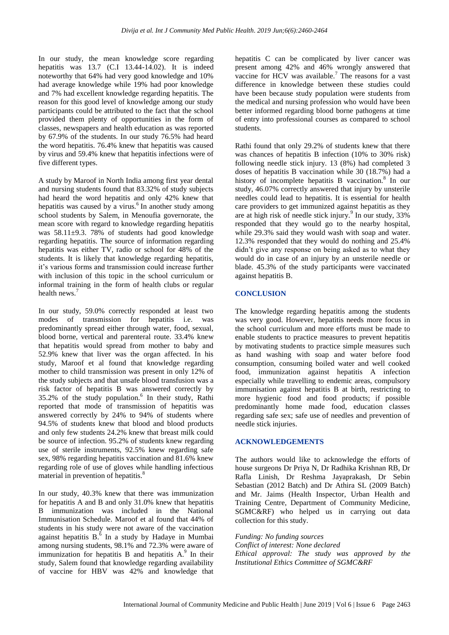In our study, the mean knowledge score regarding hepatitis was 13.7 (C.I 13.44-14.02). It is indeed noteworthy that 64% had very good knowledge and 10% had average knowledge while 19% had poor knowledge and 7% had excellent knowledge regarding hepatitis. The reason for this good level of knowledge among our study participants could be attributed to the fact that the school provided them plenty of opportunities in the form of classes, newspapers and health education as was reported by 67.9% of the students. In our study 76.5% had heard the word hepatitis. 76.4% knew that hepatitis was caused by virus and 59.4% knew that hepatitis infections were of five different types.

A study by Maroof in North India among first year dental and nursing students found that 83.32% of study subjects had heard the word hepatitis and only 42% knew that hepatitis was caused by a virus.<sup>6</sup> In another study among school students by Salem, in Menoufia governorate, the mean score with regard to knowledge regarding hepatitis was 58.11±9.3. 78% of students had good knowledge regarding hepatitis. The source of information regarding hepatitis was either TV, radio or school for 48% of the students. It is likely that knowledge regarding hepatitis, it's various forms and transmission could increase further with inclusion of this topic in the school curriculum or informal training in the form of health clubs or regular health news.<sup>7</sup>

In our study, 59.0% correctly responded at least two modes of transmission for hepatitis i.e. was predominantly spread either through water, food, sexual, blood borne, vertical and parenteral route. 33.4% knew that hepatitis would spread from mother to baby and 52.9% knew that liver was the organ affected. In his study, Maroof et al found that knowledge regarding mother to child transmission was present in only 12% of the study subjects and that unsafe blood transfusion was a risk factor of hepatitis B was answered correctly by 35.2% of the study population.<sup>6</sup> In their study, Rathi reported that mode of transmission of hepatitis was answered correctly by 24% to 94% of students where 94.5% of students knew that blood and blood products and only few students 24.2% knew that breast milk could be source of infection. 95.2% of students knew regarding use of sterile instruments, 92.5% knew regarding safe sex, 98% regarding hepatitis vaccination and 81.6% knew regarding role of use of gloves while handling infectious material in prevention of hepatitis.<sup>8</sup>

In our study, 40.3% knew that there was immunization for hepatitis A and B and only 31.0% knew that hepatitis B immunization was included in the National Immunisation Schedule. Maroof et al found that 44% of students in his study were not aware of the vaccination against hepatitis  $B^{\delta}$  In a study by Hadaye in Mumbai among nursing students, 98.1% and 72.3% were aware of immunization for hepatitis  $B$  and hepatitis  $A$ .<sup>9</sup> In their study, Salem found that knowledge regarding availability of vaccine for HBV was 42% and knowledge that hepatitis C can be complicated by liver cancer was present among 42% and 46% wrongly answered that vaccine for HCV was available.<sup>7</sup> The reasons for a vast difference in knowledge between these studies could have been because study population were students from the medical and nursing profession who would have been better informed regarding blood borne pathogens at time of entry into professional courses as compared to school students.

Rathi found that only 29.2% of students knew that there was chances of hepatitis B infection (10% to 30% risk) following needle stick injury. 13 (8%) had completed 3 doses of hepatitis B vaccination while 30 (18.7%) had a history of incomplete hepatitis B vaccination.<sup>8</sup> In our study, 46.07% correctly answered that injury by unsterile needles could lead to hepatitis. It is essential for health care providers to get immunized against hepatitis as they are at high risk of needle stick injury.<sup>9</sup> In our study, 33% responded that they would go to the nearby hospital, while 29.3% said they would wash with soap and water. 12.3% responded that they would do nothing and 25.4% didn't give any response on being asked as to what they would do in case of an injury by an unsterile needle or blade. 45.3% of the study participants were vaccinated against hepatitis B.

#### **CONCLUSION**

The knowledge regarding hepatitis among the students was very good. However, hepatitis needs more focus in the school curriculum and more efforts must be made to enable students to practice measures to prevent hepatitis by motivating students to practice simple measures such as hand washing with soap and water before food consumption, consuming boiled water and well cooked food, immunization against hepatitis A infection especially while travelling to endemic areas, compulsory immunisation against hepatitis B at birth, restricting to more hygienic food and food products; if possible predominantly home made food, education classes regarding safe sex; safe use of needles and prevention of needle stick injuries.

#### **ACKNOWLEDGEMENTS**

The authors would like to acknowledge the efforts of house surgeons Dr Priya N, Dr Radhika Krishnan RB, Dr Rafla Linish, Dr Reshma Jayaprakash, Dr Sebin Sebastian (2012 Batch) and Dr Athira SL (2009 Batch) and Mr. Jaims (Health Inspector, Urban Health and Training Centre, Department of Community Medicine, SGMC&RF) who helped us in carrying out data collection for this study.

*Funding: No funding sources*

*Conflict of interest: None declared Ethical approval: The study was approved by the Institutional Ethics Committee of SGMC&RF*